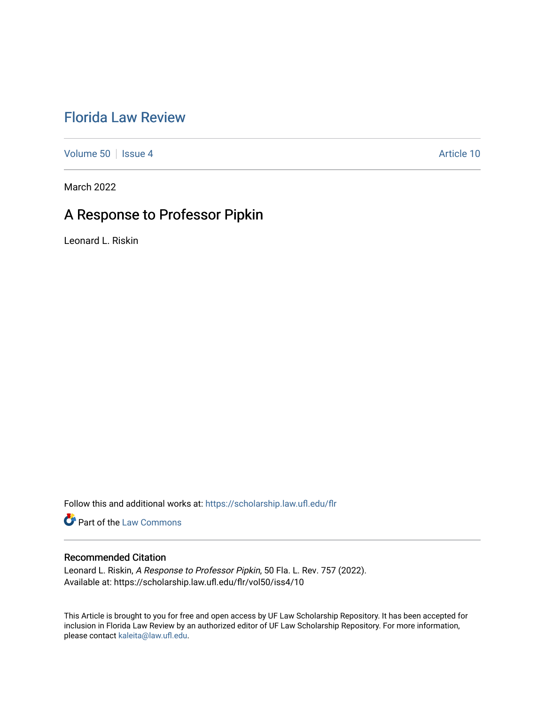## [Florida Law Review](https://scholarship.law.ufl.edu/flr)

[Volume 50](https://scholarship.law.ufl.edu/flr/vol50) | [Issue 4](https://scholarship.law.ufl.edu/flr/vol50/iss4) Article 10

March 2022

# A Response to Professor Pipkin

Leonard L. Riskin

Follow this and additional works at: [https://scholarship.law.ufl.edu/flr](https://scholarship.law.ufl.edu/flr?utm_source=scholarship.law.ufl.edu%2Fflr%2Fvol50%2Fiss4%2F10&utm_medium=PDF&utm_campaign=PDFCoverPages)

**Part of the [Law Commons](https://network.bepress.com/hgg/discipline/578?utm_source=scholarship.law.ufl.edu%2Fflr%2Fvol50%2Fiss4%2F10&utm_medium=PDF&utm_campaign=PDFCoverPages)** 

### Recommended Citation

Leonard L. Riskin, A Response to Professor Pipkin, 50 Fla. L. Rev. 757 (2022). Available at: https://scholarship.law.ufl.edu/flr/vol50/iss4/10

This Article is brought to you for free and open access by UF Law Scholarship Repository. It has been accepted for inclusion in Florida Law Review by an authorized editor of UF Law Scholarship Repository. For more information, please contact [kaleita@law.ufl.edu](mailto:kaleita@law.ufl.edu).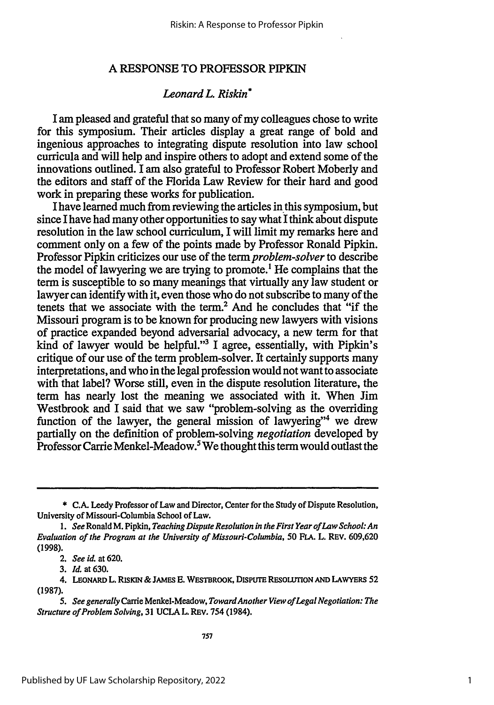### **A RESPONSE TO PROFESSOR PIPKIN**

#### *Leonard L. Riskin\**

I am pleased and grateful that so many of my colleagues chose to write for this symposium. Their articles display a great range of bold and ingenious approaches to integrating dispute resolution into law school curricula and will help and inspire others to adopt and extend some of the innovations outlined. I am also grateful to Professor Robert Moberly and the editors and staff of the Florida Law Review for their hard and good work in preparing these works for publication.

I have learned much from reviewing the articles in this symposium, but since I have had many other opportunities to say what I think about dispute resolution in the law school curriculum, I will limit my remarks here and comment only on a few of the points made by Professor Ronald Pipkin. Professor Pipkin criticizes our use of the *term problem-solver* to describe the model of lawyering we are trying to promote.<sup>1</sup> He complains that the term is susceptible to so many meanings that virtually any law student or lawyer can identify with it, even those who do not subscribe to many of the tenets that we associate with the term.2 And he concludes that "if the Missouri program is to be known for producing new lawyers with visions of practice expanded beyond adversarial advocacy, a new term for that kind of lawyer would be helpful."3 I agree, essentially, with Pipkin's critique of our use of the term problem-solver. It certainly supports many interpretations, and who in the legal profession would not want to associate with that label? Worse still, even in the dispute resolution literature, the term has nearly lost the meaning we associated with it. When Jim Westbrook and I said that we saw "problem-solving as the overriding function of the lawyer, the general mission of lawyering"4 we drew partially on the definition of problem-solving *negotiation* developed by Professor Carrie Menkel-Meadow.<sup>5</sup> We thought this term would outlast the

<sup>\*</sup> **C.A.** Leedy Professor of Law and Director, Center for the Study of Dispute Resolution, University of Missouri-Columbia School of Law.

*<sup>1.</sup> See* Ronald M. Pipkin, *Teaching Dispute Resolution in the First Year of Law School: An Evaluation of the Program at the University of Missouri-Columbia,* 50 FLA. L. REV. 609,620 (1998).

<sup>2.</sup> *See id.* at 620.

<sup>3.</sup> *Id.* at 630.

<sup>4.</sup> LEONARD L RISIGN & **JAMES E.** WESTBROOK, **DISPUTE REsOUTION AND** LAWYERS **52 (1987).**

*<sup>5.</sup> See generally* Carrie Menkel-Meadow, *TowardAnother View of Legal Negotiation: The Structure of Problem Solving,* 31 UCLA L. **REV.** 754 (1984).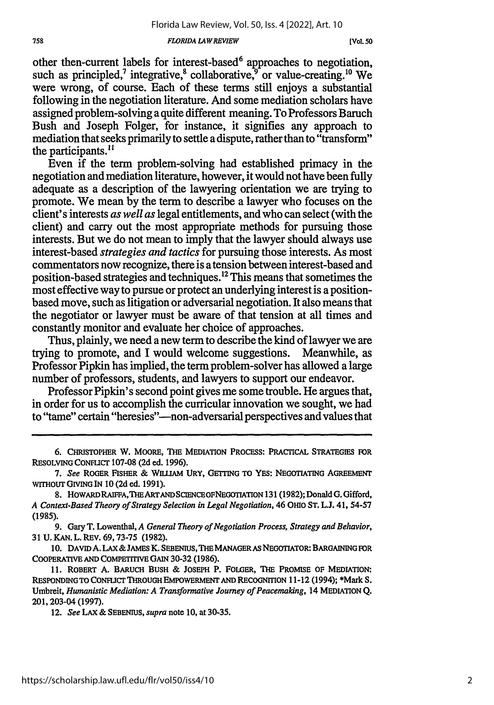#### *FLORIDA LAWREVIEW*

other then-current labels for interest-based<sup>6</sup> approaches to negotiation, such as principled,<sup>7</sup> integrative, $^8$  collaborative, $^9$  or value-creating.<sup>10</sup> We were wrong, of course. Each of these terms still enjoys a substantial following in the negotiation literature. And some mediation scholars have assigned problem-solving a quite different meaning. To Professors Baruch Bush and Joseph Folger, for instance, it signifies any approach to mediation that seeks primarily to settle a dispute, rather than to "transform" the participants.<sup>11</sup>

Even if the term problem-solving had established primacy in the negotiation and mediation literature, however, it would not have been fully adequate as a description of the lawyering orientation we are trying to promote. We mean by the term to describe a lawyer who focuses on the client's interests *as well as* legal entitlements, and who can select (with the client) and carry out the most appropriate methods for pursuing those interests. But we do not mean to imply that the lawyer should always use interest-based *strategies and tactics* for pursuing those interests. As most commentators now recognize, there is a tension between interest-based and position-based strategies and techniques. 2 This means that sometimes the most effective way to pursue or protect an underlying interest is a positionbased move, such as litigation or adversarial negotiation. It also means that the negotiator or lawyer must be aware of that tension at all times and constantly monitor and evaluate her choice of approaches.

Thus, plainly, we need a new term to describe the kind of lawyer we are trying to promote, and I would welcome suggestions. Meanwhile, as Professor Pipkin has implied, the term problem-solver has allowed a large number of professors, students, and lawyers to support our endeavor.

Professor Pipkin's second point gives me some trouble. He argues that, in order for us to accomplish the curricular innovation we sought, we had to "tame" certain "heresies"-non-adversarial perspectives and values that

**6. CHRISTOPHER** W. MOORE, **THE MEDIATION** PROCESS: PRACTICAL **STRATEGIES** FOR RESOLVING **CONFLICT 107-08 (2d** ed. 1996).

- *7. See* **ROGER FISHER & WLLIAM URY, GETTING TO YES: NEGOTIATING AGREEMENT WITHOUT GIVING IN 10 (2d ed. 1991).**
- **8. HOWARDRAIFA,THEARTANDSCIENCEOFNEGOTIATION 131 (1982); Donald G. Gifford,** *A Context-Based Theory of Strategy Selection in Legal Negotiation,* 46 **OHIO ST. L.J. 41,** 54-57 (1985).

9. Gary T. Lowenthal, *A General Theory of Negotiation Process, Strategy and Behavior,* **31 U. KAN.** L. REV. 69,73-75 **(1982).**

**10. DAVID A. LAX& JAMES K. SEBENIUS, THE MANAGER AS NEGOTIATOR: BARGAINING FOR** COOPERATIVE **AND COMPETITIVE GAIN 30-32 (1986).**

**11. ROBERT A.** BARUCH **BUSH & JOSEPH P. FOLGER, THE** PROMISE **OF MEDIATION: RESPONDING TO CONFLICT THROUGH EMPOWERMENT AND** RECOGNITION 11-12 **(1994);** \*Mark **S.** Umbreit, *Humanistic Mediation: A Transformative Journey of Peacemaking,* 14 **MEDIATION** Q. 201,203-04 **(1997).**

**12.** *See* **LAX & SEBENIUS,** *supra* note **10,** at 30-35.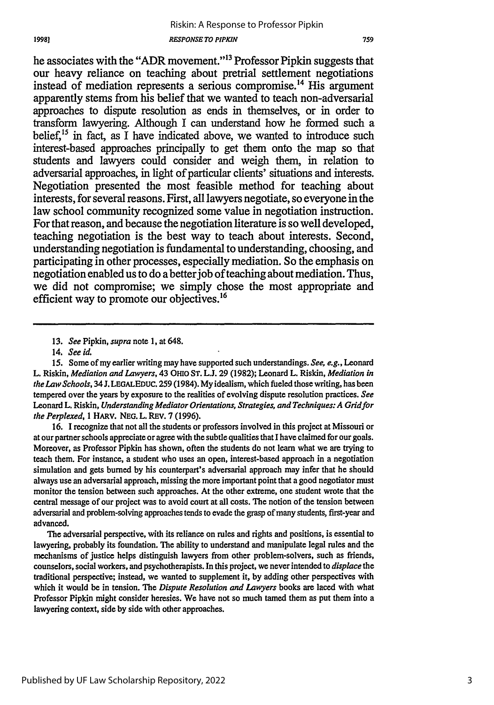he associates with the "ADR movement."13 Professor Pipkin suggests that our heavy reliance on teaching about pretrial settlement negotiations instead of mediation represents a serious compromise.<sup>14</sup> His argument apparently stems from his belief that we wanted to teach non-adversarial approaches to dispute resolution as ends in themselves, or in order to transform lawyering. Although I can understand how he formed such a belief,  $15$  in fact, as I have indicated above, we wanted to introduce such interest-based approaches principally to get them onto the map so that students and lawyers could consider and weigh them, in relation to adversarial approaches, in light of particular clients' situations and interests. Negotiation presented the most feasible method for teaching about interests, for several reasons. First, all lawyers negotiate, so everyone in the law school community recognized some value in negotiation instruction. For that reason, and because the negotiation literature is so well developed, teaching negotiation is the best way to teach about interests. Second, understanding negotiation is fundamental to understanding, choosing, and participating in other processes, especially mediation. So the emphasis on negotiation enabled us to do a better job of teaching about mediation. Thus, we did not compromise; we simply chose the most appropriate and efficient way to promote our objectives.<sup>16</sup>

16. I recognize that not all the students or professors involved in this project at Missouri or at our partner schools appreciate or agree with the subtle qualities that I have claimed for our goals. Moreover, as Professor Pipkin has shown, often the students do not learn what we are trying to teach them. For instance, a student who uses an open, interest-based approach in a negotiation simulation and gets burned by his counterpart's adversarial approach may infer that he should always use an adversarial approach, missing the more important point that a good negotiator must monitor the tension between such approaches. At the other extreme, one student wrote that the central message of our project was to avoid court at all costs. The notion of the tension between adversarial and problem-solving approaches tends to evade the grasp of many students, first-year and advanced.

The adversarial perspective, with its reliance on rules and rights and positions, is essential to lawyering, probably its foundation. The ability to understand and manipulate legal rules and the mechanisms of justice helps distinguish lawyers from other problem-solvers, such as friends, counselors, social workers, and psychotherapists. In this project, we never intended to *displace the* traditional perspective; instead, we wanted to supplement it, by adding other perspectives with which it would be in tension. The *Dispute Resolution and Lawyers* books are laced with what Professor Pipkin might consider heresies. We have not so much tamed them as put them into a lawyering context, side by side with other approaches.

<sup>13.</sup> *See* Pipkin, *supra* note 1, at 648.

<sup>14.</sup> *See id.*

**<sup>15.</sup>** Some of my earlier writing may have supported such understandings. *See, e.g.,* Leonard L. Riskin, *Mediation and Lawyers,* 43 OHIo **ST.** L.J. 29 (1982); Leonard L. Riskin, *Mediation in the Law Schools,* 34 J. LEGALEDUC. 259 (1984). My idealism, which fueled those writing, has been tempered over the years by exposure to the realities of evolving dispute resolution practices. *See* Leonard L. Riskin, *Understanding Mediator Orientations, Strategies, and Techniques: A Gridfor the Perplexed,* 1 HARV. NEG. L. REV. 7 (1996).